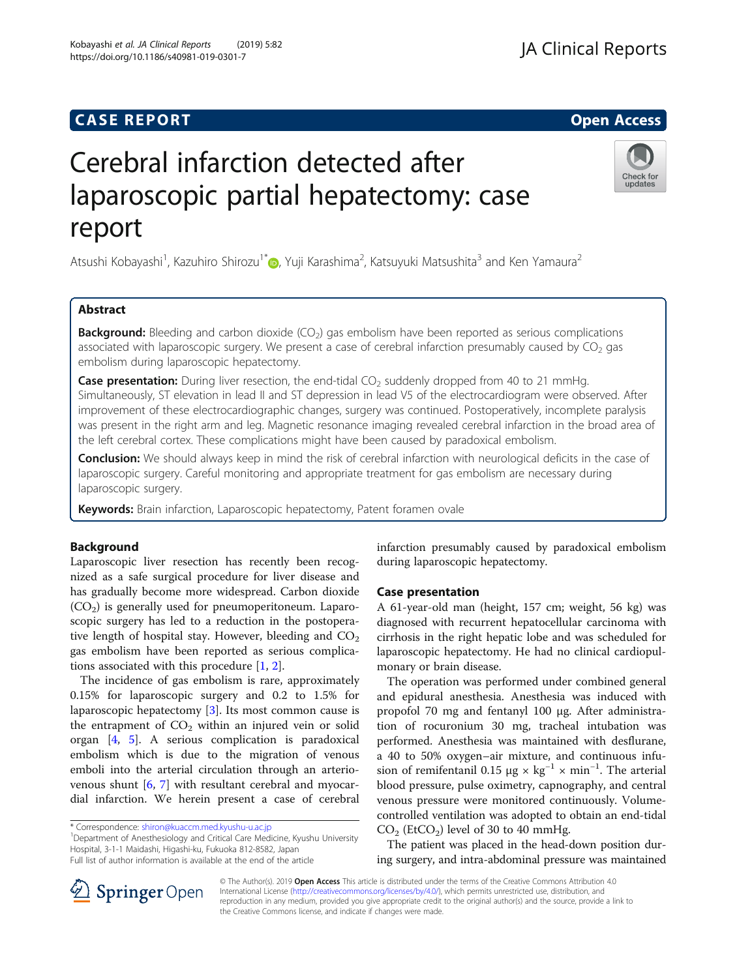# **CASE REPORT And SERVICE SERVICE SERVICE SERVICE SERVICE SERVICE SERVICE SERVICE SERVICE SERVICE SERVICE SERVICE**

# Cerebral infarction detected after laparoscopic partial hepatectomy: case report

Atsushi Kobayashi<sup>1</sup>, Kazuhiro Shirozu<sup>1\*</sup>. (@, Yuji Karashima<sup>2</sup>, Katsuyuki Matsushita<sup>3</sup> and Ken Yamaura<sup>2</sup>

# Abstract

**Background:** Bleeding and carbon dioxide ( $CO<sub>2</sub>$ ) gas embolism have been reported as serious complications associated with laparoscopic surgery. We present a case of cerebral infarction presumably caused by  $CO<sub>2</sub>$  gas embolism during laparoscopic hepatectomy.

Case presentation: During liver resection, the end-tidal CO<sub>2</sub> suddenly dropped from 40 to 21 mmHg. Simultaneously, ST elevation in lead II and ST depression in lead V5 of the electrocardiogram were observed. After improvement of these electrocardiographic changes, surgery was continued. Postoperatively, incomplete paralysis was present in the right arm and leg. Magnetic resonance imaging revealed cerebral infarction in the broad area of the left cerebral cortex. These complications might have been caused by paradoxical embolism.

Conclusion: We should always keep in mind the risk of cerebral infarction with neurological deficits in the case of laparoscopic surgery. Careful monitoring and appropriate treatment for gas embolism are necessary during laparoscopic surgery.

Keywords: Brain infarction, Laparoscopic hepatectomy, Patent foramen ovale

# Background

Laparoscopic liver resection has recently been recognized as a safe surgical procedure for liver disease and has gradually become more widespread. Carbon dioxide  $(CO<sub>2</sub>)$  is generally used for pneumoperitoneum. Laparoscopic surgery has led to a reduction in the postoperative length of hospital stay. However, bleeding and  $CO<sub>2</sub>$ gas embolism have been reported as serious complications associated with this procedure [[1,](#page-3-0) [2\]](#page-3-0).

The incidence of gas embolism is rare, approximately 0.15% for laparoscopic surgery and 0.2 to 1.5% for laparoscopic hepatectomy [\[3](#page-3-0)]. Its most common cause is the entrapment of  $CO<sub>2</sub>$  within an injured vein or solid organ [\[4](#page-3-0), [5\]](#page-3-0). A serious complication is paradoxical embolism which is due to the migration of venous emboli into the arterial circulation through an arteriovenous shunt [[6,](#page-3-0) [7](#page-3-0)] with resultant cerebral and myocardial infarction. We herein present a case of cerebral

\* Correspondence: [shiron@kuaccm.med.kyushu-u.ac.jp](mailto:shiron@kuaccm.med.kyushu-u.ac.jp) <sup>1</sup>

<sup>1</sup>Department of Anesthesiology and Critical Care Medicine, Kyushu University Hospital, 3-1-1 Maidashi, Higashi-ku, Fukuoka 812-8582, Japan Full list of author information is available at the end of the article

infarction presumably caused by paradoxical embolism during laparoscopic hepatectomy.

# Case presentation

A 61-year-old man (height, 157 cm; weight, 56 kg) was diagnosed with recurrent hepatocellular carcinoma with cirrhosis in the right hepatic lobe and was scheduled for laparoscopic hepatectomy. He had no clinical cardiopulmonary or brain disease.

The operation was performed under combined general and epidural anesthesia. Anesthesia was induced with propofol 70 mg and fentanyl 100 μg. After administration of rocuronium 30 mg, tracheal intubation was performed. Anesthesia was maintained with desflurane, a 40 to 50% oxygen–air mixture, and continuous infusion of remifentanil 0.15  $\mu$ g × kg<sup>-1</sup> × min<sup>-1</sup>. The arterial blood pressure, pulse oximetry, capnography, and central venous pressure were monitored continuously. Volumecontrolled ventilation was adopted to obtain an end-tidal  $CO<sub>2</sub>$  (EtCO<sub>2</sub>) level of 30 to 40 mmHg.

The patient was placed in the head-down position during surgery, and intra-abdominal pressure was maintained

© The Author(s). 2019 Open Access This article is distributed under the terms of the Creative Commons Attribution 4.0 International License ([http://creativecommons.org/licenses/by/4.0/\)](http://creativecommons.org/licenses/by/4.0/), which permits unrestricted use, distribution, and reproduction in any medium, provided you give appropriate credit to the original author(s) and the source, provide a link to the Creative Commons license, and indicate if changes were made.





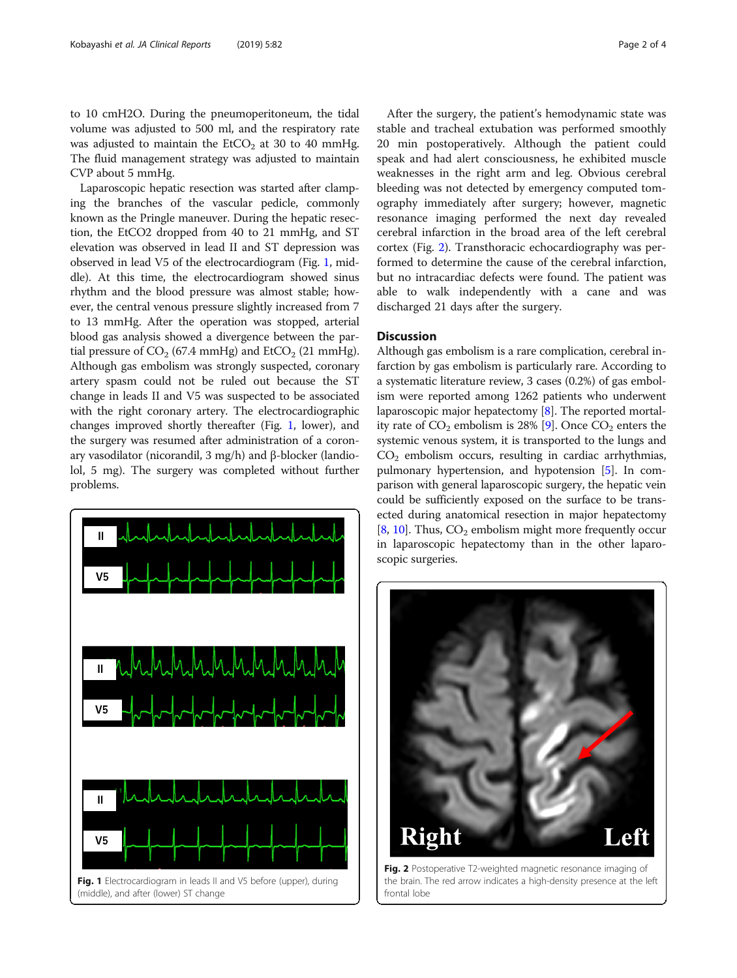to 10 cmH2O. During the pneumoperitoneum, the tidal volume was adjusted to 500 ml, and the respiratory rate was adjusted to maintain the  $EtCO<sub>2</sub>$  at 30 to 40 mmHg. The fluid management strategy was adjusted to maintain CVP about 5 mmHg.

Laparoscopic hepatic resection was started after clamping the branches of the vascular pedicle, commonly known as the Pringle maneuver. During the hepatic resection, the EtCO2 dropped from 40 to 21 mmHg, and ST elevation was observed in lead II and ST depression was observed in lead V5 of the electrocardiogram (Fig. 1, middle). At this time, the electrocardiogram showed sinus rhythm and the blood pressure was almost stable; however, the central venous pressure slightly increased from 7 to 13 mmHg. After the operation was stopped, arterial blood gas analysis showed a divergence between the partial pressure of  $CO<sub>2</sub>$  (67.4 mmHg) and EtCO<sub>2</sub> (21 mmHg). Although gas embolism was strongly suspected, coronary artery spasm could not be ruled out because the ST change in leads II and V5 was suspected to be associated with the right coronary artery. The electrocardiographic changes improved shortly thereafter (Fig. 1, lower), and the surgery was resumed after administration of a coronary vasodilator (nicorandil, 3 mg/h) and β-blocker (landiolol, 5 mg). The surgery was completed without further problems.



After the surgery, the patient's hemodynamic state was stable and tracheal extubation was performed smoothly 20 min postoperatively. Although the patient could speak and had alert consciousness, he exhibited muscle weaknesses in the right arm and leg. Obvious cerebral bleeding was not detected by emergency computed tomography immediately after surgery; however, magnetic resonance imaging performed the next day revealed cerebral infarction in the broad area of the left cerebral cortex (Fig. 2). Transthoracic echocardiography was performed to determine the cause of the cerebral infarction, but no intracardiac defects were found. The patient was able to walk independently with a cane and was discharged 21 days after the surgery.

## **Discussion**

frontal lobe

Although gas embolism is a rare complication, cerebral infarction by gas embolism is particularly rare. According to a systematic literature review, 3 cases (0.2%) of gas embolism were reported among 1262 patients who underwent laparoscopic major hepatectomy [\[8](#page-3-0)]. The reported mortality rate of  $CO_2$  embolism is 28% [[9](#page-3-0)]. Once  $CO_2$  enters the systemic venous system, it is transported to the lungs and  $CO<sub>2</sub>$  embolism occurs, resulting in cardiac arrhythmias, pulmonary hypertension, and hypotension [\[5\]](#page-3-0). In comparison with general laparoscopic surgery, the hepatic vein could be sufficiently exposed on the surface to be transected during anatomical resection in major hepatectomy [[8,](#page-3-0) [10](#page-3-0)]. Thus,  $CO<sub>2</sub>$  embolism might more frequently occur in laparoscopic hepatectomy than in the other laparoscopic surgeries.

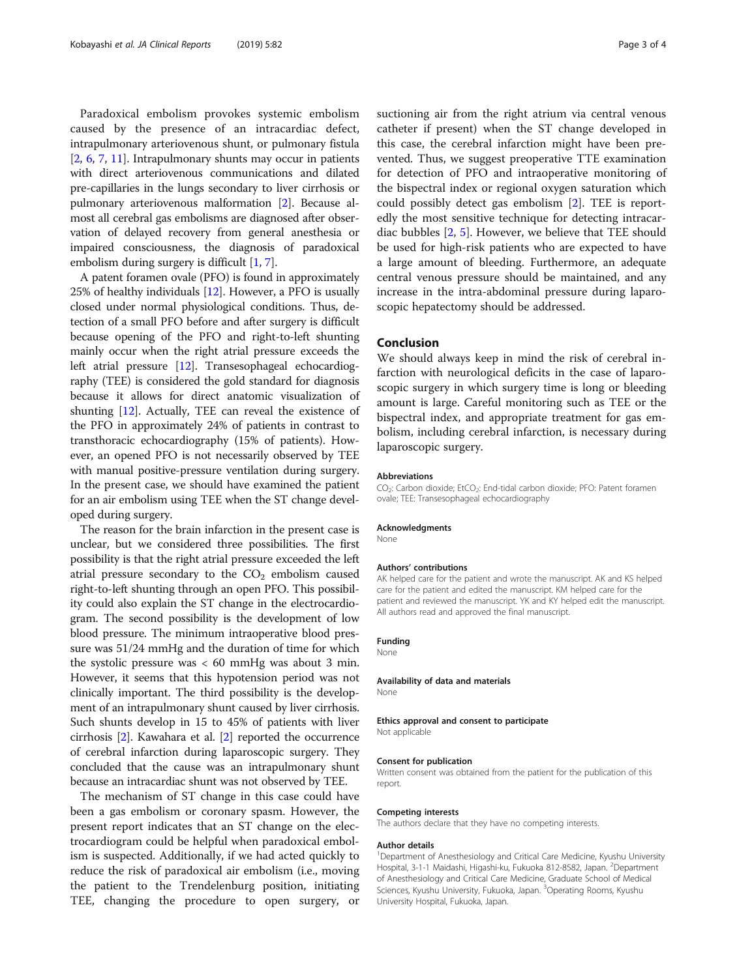Paradoxical embolism provokes systemic embolism caused by the presence of an intracardiac defect, intrapulmonary arteriovenous shunt, or pulmonary fistula [[2,](#page-3-0) [6,](#page-3-0) [7,](#page-3-0) [11](#page-3-0)]. Intrapulmonary shunts may occur in patients with direct arteriovenous communications and dilated pre-capillaries in the lungs secondary to liver cirrhosis or pulmonary arteriovenous malformation [[2\]](#page-3-0). Because almost all cerebral gas embolisms are diagnosed after observation of delayed recovery from general anesthesia or impaired consciousness, the diagnosis of paradoxical embolism during surgery is difficult [[1,](#page-3-0) [7](#page-3-0)].

A patent foramen ovale (PFO) is found in approximately 25% of healthy individuals [\[12\]](#page-3-0). However, a PFO is usually closed under normal physiological conditions. Thus, detection of a small PFO before and after surgery is difficult because opening of the PFO and right-to-left shunting mainly occur when the right atrial pressure exceeds the left atrial pressure [[12](#page-3-0)]. Transesophageal echocardiography (TEE) is considered the gold standard for diagnosis because it allows for direct anatomic visualization of shunting [\[12\]](#page-3-0). Actually, TEE can reveal the existence of the PFO in approximately 24% of patients in contrast to transthoracic echocardiography (15% of patients). However, an opened PFO is not necessarily observed by TEE with manual positive-pressure ventilation during surgery. In the present case, we should have examined the patient for an air embolism using TEE when the ST change developed during surgery.

The reason for the brain infarction in the present case is unclear, but we considered three possibilities. The first possibility is that the right atrial pressure exceeded the left atrial pressure secondary to the  $CO<sub>2</sub>$  embolism caused right-to-left shunting through an open PFO. This possibility could also explain the ST change in the electrocardiogram. The second possibility is the development of low blood pressure. The minimum intraoperative blood pressure was 51/24 mmHg and the duration of time for which the systolic pressure was  $< 60$  mmHg was about 3 min. However, it seems that this hypotension period was not clinically important. The third possibility is the development of an intrapulmonary shunt caused by liver cirrhosis. Such shunts develop in 15 to 45% of patients with liver cirrhosis [\[2](#page-3-0)]. Kawahara et al. [[2](#page-3-0)] reported the occurrence of cerebral infarction during laparoscopic surgery. They concluded that the cause was an intrapulmonary shunt because an intracardiac shunt was not observed by TEE.

The mechanism of ST change in this case could have been a gas embolism or coronary spasm. However, the present report indicates that an ST change on the electrocardiogram could be helpful when paradoxical embolism is suspected. Additionally, if we had acted quickly to reduce the risk of paradoxical air embolism (i.e., moving the patient to the Trendelenburg position, initiating TEE, changing the procedure to open surgery, or suctioning air from the right atrium via central venous catheter if present) when the ST change developed in this case, the cerebral infarction might have been prevented. Thus, we suggest preoperative TTE examination for detection of PFO and intraoperative monitoring of the bispectral index or regional oxygen saturation which could possibly detect gas embolism [\[2](#page-3-0)]. TEE is reportedly the most sensitive technique for detecting intracardiac bubbles [[2,](#page-3-0) [5\]](#page-3-0). However, we believe that TEE should be used for high-risk patients who are expected to have a large amount of bleeding. Furthermore, an adequate central venous pressure should be maintained, and any increase in the intra-abdominal pressure during laparoscopic hepatectomy should be addressed.

## Conclusion

We should always keep in mind the risk of cerebral infarction with neurological deficits in the case of laparoscopic surgery in which surgery time is long or bleeding amount is large. Careful monitoring such as TEE or the bispectral index, and appropriate treatment for gas embolism, including cerebral infarction, is necessary during laparoscopic surgery.

#### Abbreviations

CO<sub>2</sub>: Carbon dioxide; EtCO<sub>2</sub>: End-tidal carbon dioxide; PFO: Patent foramen ovale; TEE: Transesophageal echocardiography

## Acknowledgments

None

## Authors' contributions

AK helped care for the patient and wrote the manuscript. AK and KS helped care for the patient and edited the manuscript. KM helped care for the patient and reviewed the manuscript. YK and KY helped edit the manuscript. All authors read and approved the final manuscript.

## Funding

None

# Availability of data and materials

None

## Ethics approval and consent to participate Not applicable

#### Consent for publication

Written consent was obtained from the patient for the publication of this report.

#### Competing interests

The authors declare that they have no competing interests.

#### Author details

<sup>1</sup>Department of Anesthesiology and Critical Care Medicine, Kyushu University Hospital, 3-1-1 Maidashi, Higashi-ku, Fukuoka 812-8582, Japan. <sup>2</sup>Department of Anesthesiology and Critical Care Medicine, Graduate School of Medical Sciences, Kyushu University, Fukuoka, Japan. <sup>3</sup>Operating Rooms, Kyushu University Hospital, Fukuoka, Japan.